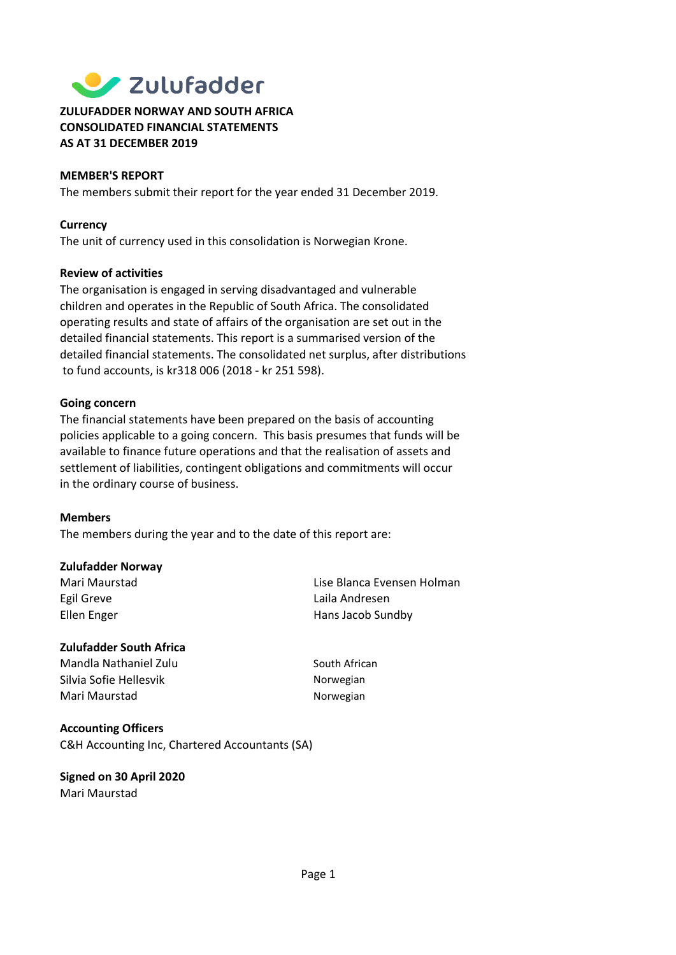

#### ZULUFADDER NORWAY AND SOUTH AFRICA CONSOLIDATED FINANCIAL STATEMENTS AS AT 31 DECEMBER 2019

#### MEMBER'S REPORT

The members submit their report for the year ended 31 December 2019.

#### **Currency**

The unit of currency used in this consolidation is Norwegian Krone.

#### Review of activities

The organisation is engaged in serving disadvantaged and vulnerable children and operates in the Republic of South Africa. The consolidated operating results and state of affairs of the organisation are set out in the detailed financial statements. This report is a summarised version of the detailed financial statements. The consolidated net surplus, after distributions to fund accounts, is kr318 006 (2018 - kr 251 598).

#### Going concern

The financial statements have been prepared on the basis of accounting policies applicable to a going concern. This basis presumes that funds will be available to finance future operations and that the realisation of assets and settlement of liabilities, contingent obligations and commitments will occur in the ordinary course of business.

#### Members

The members during the year and to the date of this report are:

#### Zulufadder Norway

Egil Greve Laila Andresen

#### Zulufadder South Africa

Mandla Nathaniel Zulu South African Silvia Sofie Hellesvik Norwegian Mari Maurstad Norwegian

Mari Maurstad Lise Blanca Evensen Holman Ellen Enger Hans Jacob Sundby

#### Accounting Officers

C&H Accounting Inc, Chartered Accountants (SA)

Signed on 30 April 2020 Mari Maurstad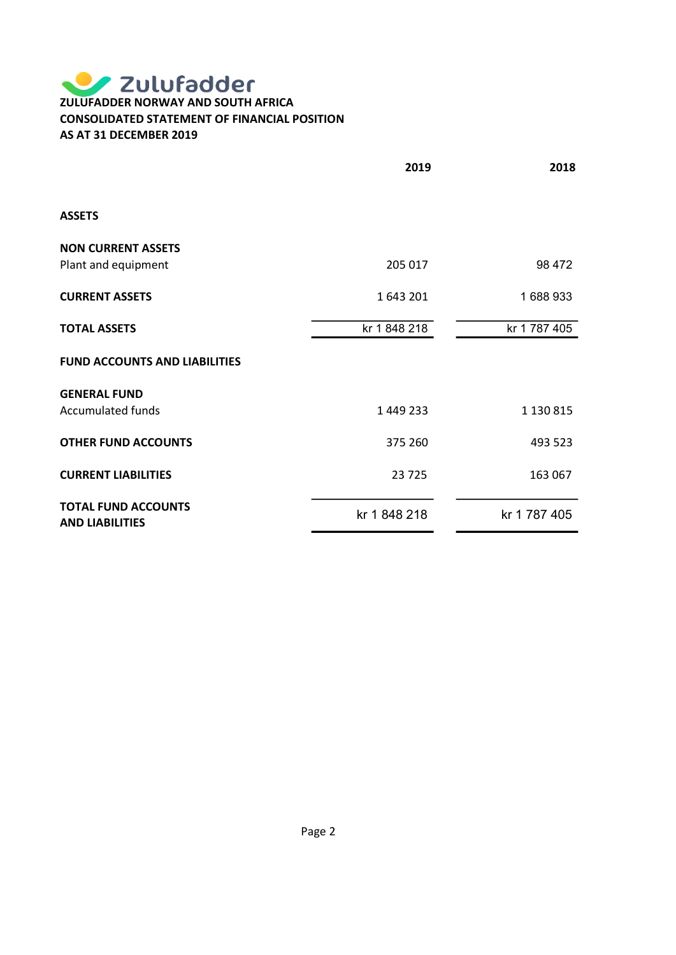## **ZULUFADDER NORWAY AND SOUTH AFRICA** CONSOLIDATED STATEMENT OF FINANCIAL POSITION AS AT 31 DECEMBER 2019

|                                                      | 2019         | 2018         |
|------------------------------------------------------|--------------|--------------|
|                                                      |              |              |
| <b>ASSETS</b>                                        |              |              |
| <b>NON CURRENT ASSETS</b>                            |              |              |
| Plant and equipment                                  | 205 017      | 98 472       |
| <b>CURRENT ASSETS</b>                                | 1643201      | 1688933      |
| <b>TOTAL ASSETS</b>                                  | kr 1 848 218 | kr 1 787 405 |
| <b>FUND ACCOUNTS AND LIABILITIES</b>                 |              |              |
| <b>GENERAL FUND</b>                                  |              |              |
| <b>Accumulated funds</b>                             | 1449233      | 1 130 815    |
| <b>OTHER FUND ACCOUNTS</b>                           | 375 260      | 493 523      |
| <b>CURRENT LIABILITIES</b>                           | 23725        | 163 067      |
| <b>TOTAL FUND ACCOUNTS</b><br><b>AND LIABILITIES</b> | kr 1 848 218 | kr 1 787 405 |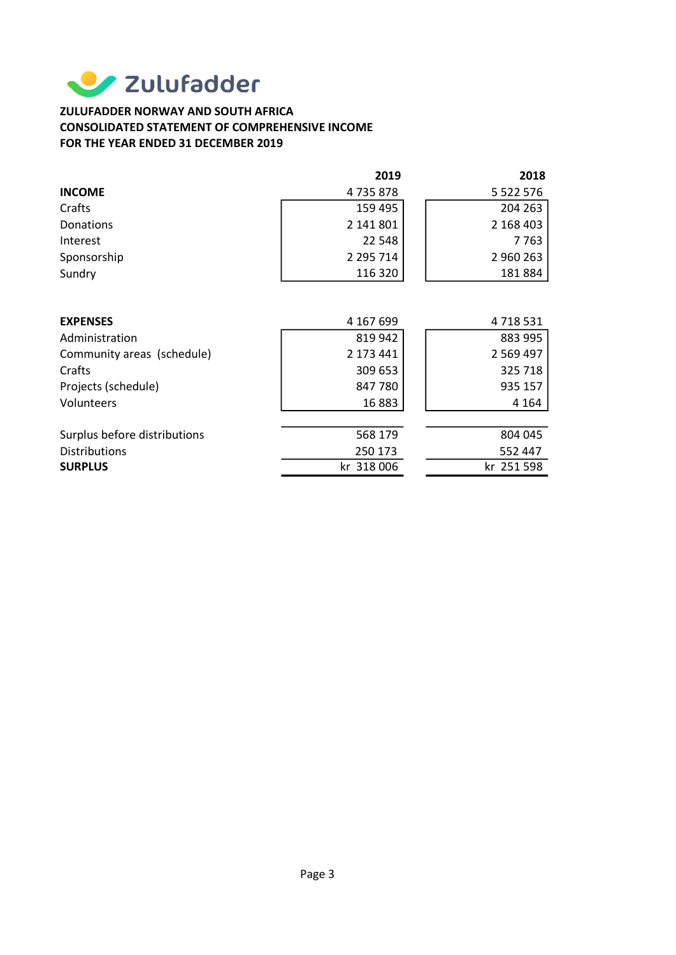

#### ZULUFADDER NORWAY AND SOUTH AFRICA CONSOLIDATED STATEMENT OF COMPREHENSIVE INCOME FOR THE YEAR ENDED 31 DECEMBER 2019

|                              | 2019       | 2018          |
|------------------------------|------------|---------------|
| <b>INCOME</b>                | 4735878    | 5 5 2 2 5 7 6 |
| Crafts                       | 159 495    | 204 263       |
| Donations                    | 2 141 801  | 2 168 403     |
| Interest                     | 22 548     | 7763          |
| Sponsorship                  | 2 295 714  | 2 960 263     |
| Sundry                       | 116 320    | 181884        |
|                              |            |               |
| <b>EXPENSES</b>              | 4 167 699  | 4718531       |
| Administration               | 819 942    | 883 995       |
| Community areas (schedule)   | 2 173 441  | 2 5 6 9 4 9 7 |
| Crafts                       | 309 653    | 325 718       |
| Projects (schedule)          | 847780     | 935 157       |
| Volunteers                   | 16883      | 4 1 6 4       |
|                              |            |               |
| Surplus before distributions | 568 179    | 804 045       |
| <b>Distributions</b>         | 250 173    | 552 447       |
| <b>SURPLUS</b>               | kr 318 006 | kr 251 598    |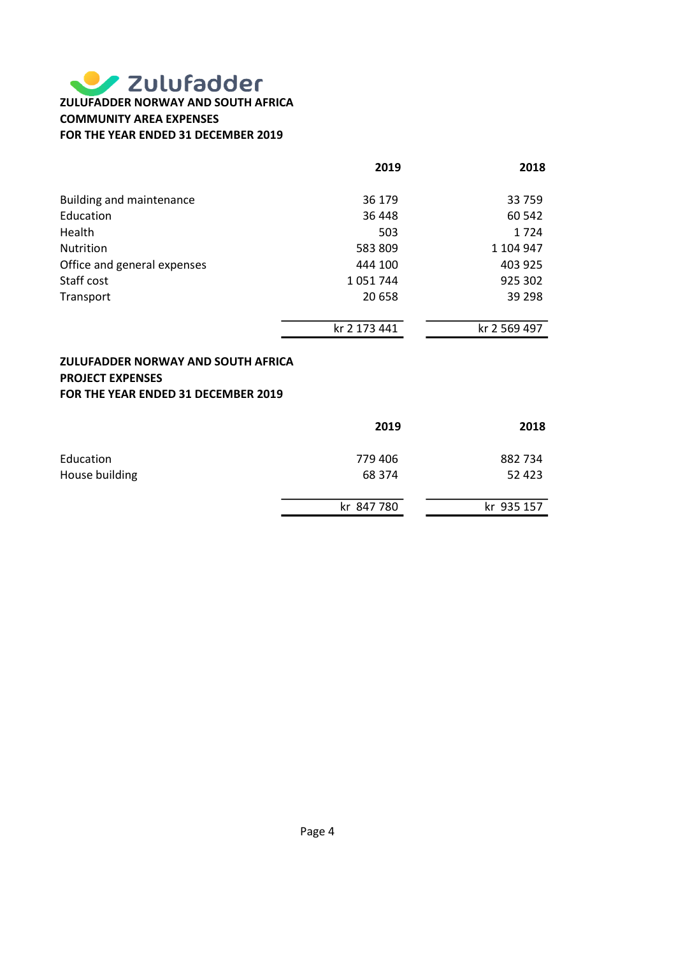V Zulufadder ZULUFADDER NORWAY AND SOUTH AFRICA COMMUNITY AREA EXPENSES FOR THE YEAR ENDED 31 DECEMBER 2019

|                                                                                                      | 2019         | 2018         |
|------------------------------------------------------------------------------------------------------|--------------|--------------|
|                                                                                                      |              |              |
| <b>Building and maintenance</b>                                                                      | 36 179       | 33 759       |
| Education                                                                                            | 36 448       | 60 542       |
| Health                                                                                               | 503          | 1724         |
| Nutrition                                                                                            | 583 809      | 1 104 947    |
| Office and general expenses                                                                          | 444 100      | 403 925      |
| Staff cost                                                                                           | 1051744      | 925 302      |
| Transport                                                                                            | 20 658       | 39 298       |
|                                                                                                      |              |              |
|                                                                                                      | kr 2 173 441 | kr 2 569 497 |
| ZULUFADDER NORWAY AND SOUTH AFRICA<br><b>PROJECT EXPENSES</b><br>FOR THE YEAR ENDED 31 DECEMBER 2019 |              |              |
|                                                                                                      | 2019         | 2018         |
| Education                                                                                            | 779 406      | 882 734      |
| House building                                                                                       | 68 374       | 52 423       |

kr 847 780 kr 935 157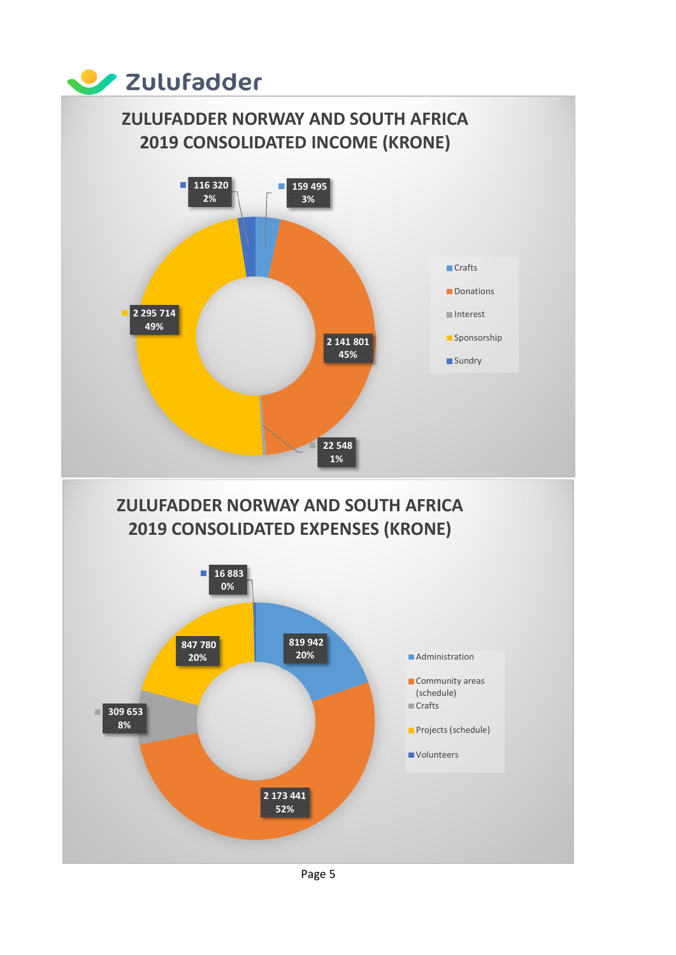## ZULUFADDER NORWAY AND SOUTH AFRICA 2019 CONSOLIDATED INCOME (KRONE)

<u>U</u> Zulufadder



### ZULUFADDER NORWAY AND SOUTH AFRICA 2019 CONSOLIDATED EXPENSES (KRONE)